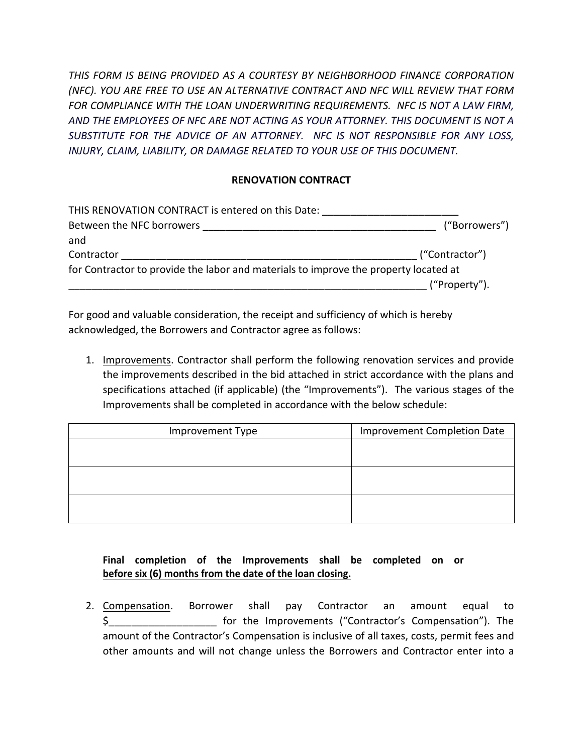*THIS FORM IS BEING PROVIDED AS A COURTESY BY NEIGHBORHOOD FINANCE CORPORATION (NFC). YOU ARE FREE TO USE AN ALTERNATIVE CONTRACT AND NFC WILL REVIEW THAT FORM*  FOR COMPLIANCE WITH THE LOAN UNDERWRITING REQUIREMENTS. NFC IS NOT A LAW FIRM, *AND THE EMPLOYEES OF NFC ARE NOT ACTING AS YOUR ATTORNEY. THIS DOCUMENT IS NOT A SUBSTITUTE FOR THE ADVICE OF AN ATTORNEY. NFC IS NOT RESPONSIBLE FOR ANY LOSS, INJURY, CLAIM, LIABILITY, OR DAMAGE RELATED TO YOUR USE OF THIS DOCUMENT.*

## **RENOVATION CONTRACT**

| THIS RENOVATION CONTRACT is entered on this Date:                                    |                |
|--------------------------------------------------------------------------------------|----------------|
| Between the NFC borrowers                                                            | ("Borrowers")  |
| and                                                                                  |                |
| Contractor                                                                           | ("Contractor") |
| for Contractor to provide the labor and materials to improve the property located at |                |
|                                                                                      | ("Property").  |

For good and valuable consideration, the receipt and sufficiency of which is hereby acknowledged, the Borrowers and Contractor agree as follows:

1. Improvements. Contractor shall perform the following renovation services and provide the improvements described in the bid attached in strict accordance with the plans and specifications attached (if applicable) (the "Improvements"). The various stages of the Improvements shall be completed in accordance with the below schedule:

| Improvement Type | Improvement Completion Date |  |  |
|------------------|-----------------------------|--|--|
|                  |                             |  |  |
|                  |                             |  |  |
|                  |                             |  |  |
|                  |                             |  |  |
|                  |                             |  |  |
|                  |                             |  |  |

## **Final completion of the Improvements shall be completed on or before six (6) months from the date of the loan closing.**

2. Compensation. Borrower shall pay Contractor an amount equal to \$\_\_\_\_\_\_\_\_\_\_\_\_\_\_\_\_\_\_\_ for the Improvements ("Contractor's Compensation"). The amount of the Contractor's Compensation is inclusive of all taxes, costs, permit fees and other amounts and will not change unless the Borrowers and Contractor enter into a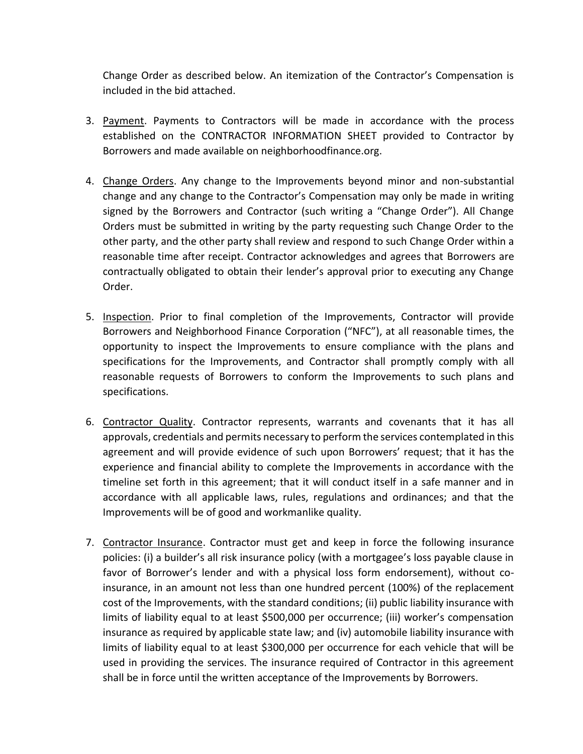Change Order as described below. An itemization of the Contractor's Compensation is included in the bid attached.

- 3. Payment. Payments to Contractors will be made in accordance with the process established on the CONTRACTOR INFORMATION SHEET provided to Contractor by Borrowers and made available on neighborhoodfinance.org.
- 4. Change Orders. Any change to the Improvements beyond minor and non-substantial change and any change to the Contractor's Compensation may only be made in writing signed by the Borrowers and Contractor (such writing a "Change Order"). All Change Orders must be submitted in writing by the party requesting such Change Order to the other party, and the other party shall review and respond to such Change Order within a reasonable time after receipt. Contractor acknowledges and agrees that Borrowers are contractually obligated to obtain their lender's approval prior to executing any Change Order.
- 5. Inspection. Prior to final completion of the Improvements, Contractor will provide Borrowers and Neighborhood Finance Corporation ("NFC"), at all reasonable times, the opportunity to inspect the Improvements to ensure compliance with the plans and specifications for the Improvements, and Contractor shall promptly comply with all reasonable requests of Borrowers to conform the Improvements to such plans and specifications.
- 6. Contractor Quality. Contractor represents, warrants and covenants that it has all approvals, credentials and permits necessary to perform the services contemplated in this agreement and will provide evidence of such upon Borrowers' request; that it has the experience and financial ability to complete the Improvements in accordance with the timeline set forth in this agreement; that it will conduct itself in a safe manner and in accordance with all applicable laws, rules, regulations and ordinances; and that the Improvements will be of good and workmanlike quality.
- 7. Contractor Insurance. Contractor must get and keep in force the following insurance policies: (i) a builder's all risk insurance policy (with a mortgagee's loss payable clause in favor of Borrower's lender and with a physical loss form endorsement), without coinsurance, in an amount not less than one hundred percent (100%) of the replacement cost of the Improvements, with the standard conditions; (ii) public liability insurance with limits of liability equal to at least \$500,000 per occurrence; (iii) worker's compensation insurance as required by applicable state law; and (iv) automobile liability insurance with limits of liability equal to at least \$300,000 per occurrence for each vehicle that will be used in providing the services. The insurance required of Contractor in this agreement shall be in force until the written acceptance of the Improvements by Borrowers.